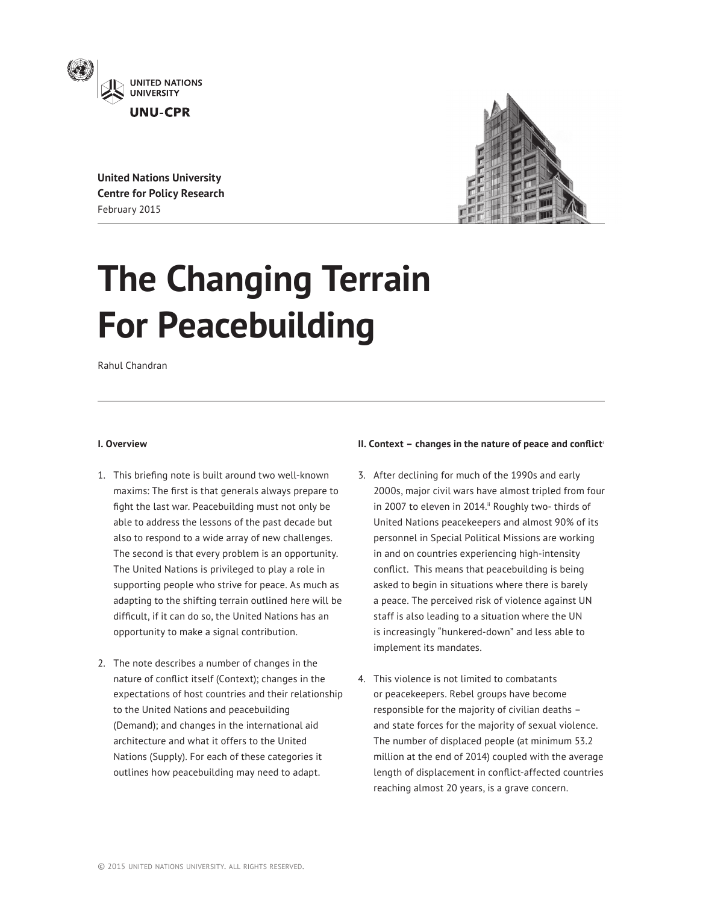

**United Nations University Centre for Policy Research** February 2015



# **The Changing Terrain For Peacebuilding**

Rahul Chandran

## **I. Overview**

- 1. This briefing note is built around two well-known maxims: The first is that generals always prepare to fight the last war. Peacebuilding must not only be able to address the lessons of the past decade but also to respond to a wide array of new challenges. The second is that every problem is an opportunity. The United Nations is privileged to play a role in supporting people who strive for peace. As much as adapting to the shifting terrain outlined here will be difficult, if it can do so, the United Nations has an opportunity to make a signal contribution.
- 2. The note describes a number of changes in the nature of conflict itself (Context); changes in the expectations of host countries and their relationship to the United Nations and peacebuilding (Demand); and changes in the international aid architecture and what it offers to the United Nations (Supply). For each of these categories it outlines how peacebuilding may need to adapt.

# **II. Context - changes in the nature of peace and conflict'**

- 3. After declining for much of the 1990s and early 2000s, major civil wars have almost tripled from four in 2007 to eleven in 2014." Roughly two- thirds of United Nations peacekeepers and almost 90% of its personnel in Special Political Missions are working in and on countries experiencing high-intensity conflict. This means that peacebuilding is being asked to begin in situations where there is barely a peace. The perceived risk of violence against UN staff is also leading to a situation where the UN is increasingly "hunkered-down" and less able to implement its mandates.
- 4. This violence is not limited to combatants or peacekeepers. Rebel groups have become responsible for the majority of civilian deaths – and state forces for the majority of sexual violence. The number of displaced people (at minimum 53.2 million at the end of 2014) coupled with the average length of displacement in conflict-affected countries reaching almost 20 years, is a grave concern.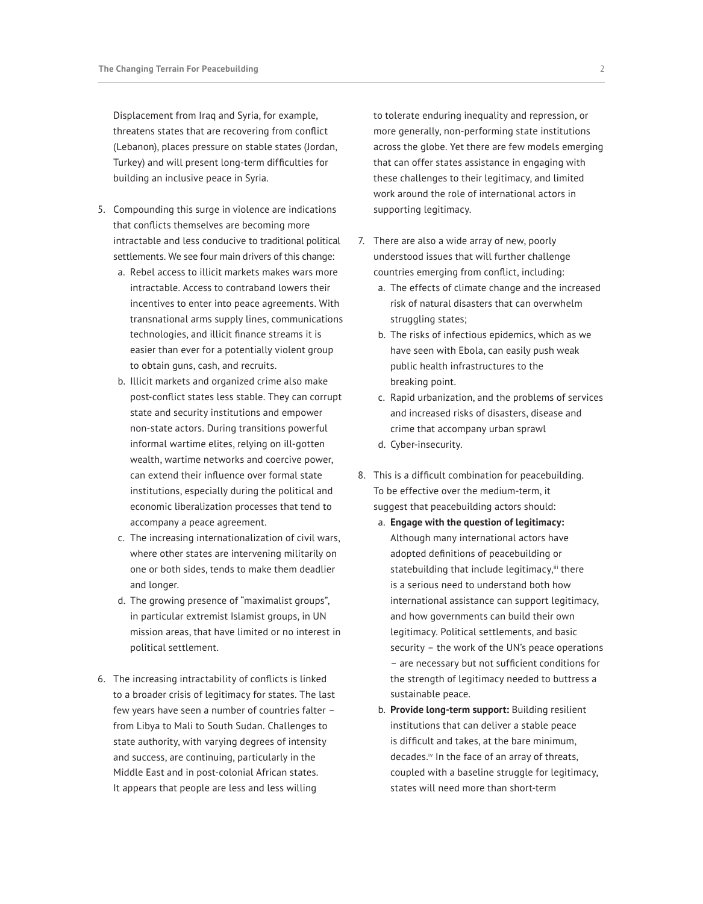Displacement from Iraq and Syria, for example, threatens states that are recovering from conflict (Lebanon), places pressure on stable states (Jordan, Turkey) and will present long-term difficulties for building an inclusive peace in Syria.

- 5. Compounding this surge in violence are indications that conflicts themselves are becoming more intractable and less conducive to traditional political settlements. We see four main drivers of this change:
	- a. Rebel access to illicit markets makes wars more intractable. Access to contraband lowers their incentives to enter into peace agreements. With transnational arms supply lines, communications technologies, and illicit finance streams it is easier than ever for a potentially violent group to obtain guns, cash, and recruits.
	- b. Illicit markets and organized crime also make post-conflict states less stable. They can corrupt state and security institutions and empower non-state actors. During transitions powerful informal wartime elites, relying on ill-gotten wealth, wartime networks and coercive power, can extend their influence over formal state institutions, especially during the political and economic liberalization processes that tend to accompany a peace agreement.
	- c. The increasing internationalization of civil wars, where other states are intervening militarily on one or both sides, tends to make them deadlier and longer.
	- d. The growing presence of "maximalist groups", in particular extremist Islamist groups, in UN mission areas, that have limited or no interest in political settlement.
- 6. The increasing intractability of conflicts is linked to a broader crisis of legitimacy for states. The last few years have seen a number of countries falter – from Libya to Mali to South Sudan. Challenges to state authority, with varying degrees of intensity and success, are continuing, particularly in the Middle East and in post-colonial African states. It appears that people are less and less willing

to tolerate enduring inequality and repression, or more generally, non-performing state institutions across the globe. Yet there are few models emerging that can offer states assistance in engaging with these challenges to their legitimacy, and limited work around the role of international actors in supporting legitimacy.

- 7. There are also a wide array of new, poorly understood issues that will further challenge countries emerging from conflict, including:
	- a. The effects of climate change and the increased risk of natural disasters that can overwhelm struggling states;
	- b. The risks of infectious epidemics, which as we have seen with Ebola, can easily push weak public health infrastructures to the breaking point.
	- c. Rapid urbanization, and the problems of services and increased risks of disasters, disease and crime that accompany urban sprawl
	- d. Cyber-insecurity.
- 8. This is a difficult combination for peacebuilding. To be effective over the medium-term, it suggest that peacebuilding actors should:
	- a. **Engage with the question of legitimacy:** Although many international actors have adopted definitions of peacebuilding or statebuilding that include legitimacy, iii there is a serious need to understand both how international assistance can support legitimacy, and how governments can build their own legitimacy. Political settlements, and basic security – the work of the UN's peace operations – are necessary but not sufficient conditions for the strength of legitimacy needed to buttress a sustainable peace.
	- b. **Provide long-term support:** Building resilient institutions that can deliver a stable peace is difficult and takes, at the bare minimum, decades.iv In the face of an array of threats, coupled with a baseline struggle for legitimacy, states will need more than short-term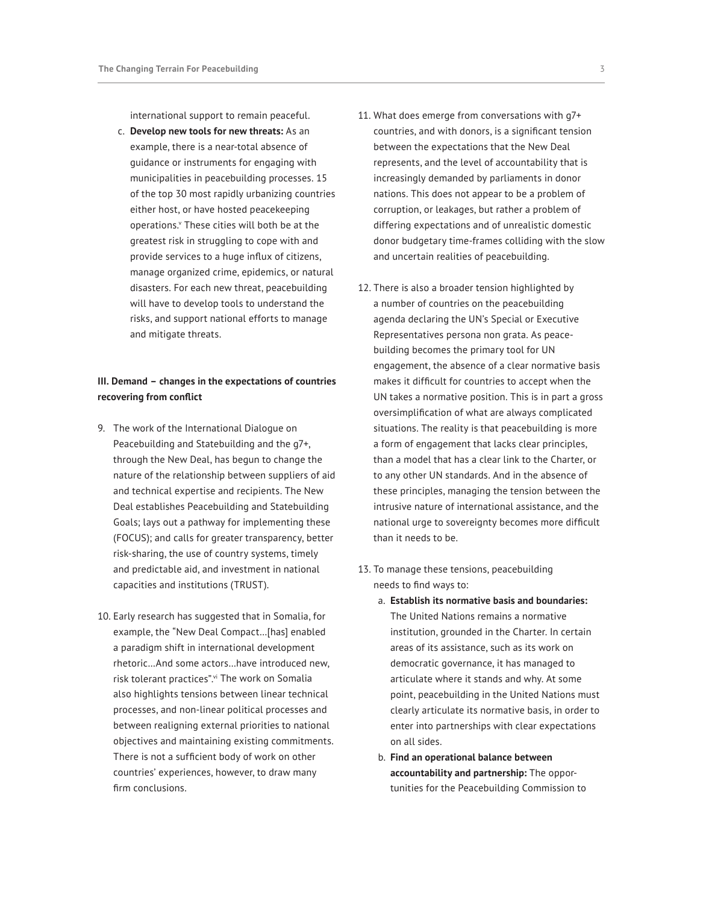international support to remain peaceful.

c. **Develop new tools for new threats:** As an example, there is a near-total absence of guidance or instruments for engaging with municipalities in peacebuilding processes. 15 of the top 30 most rapidly urbanizing countries either host, or have hosted peacekeeping operations.<sup>v</sup> These cities will both be at the greatest risk in struggling to cope with and provide services to a huge influx of citizens, manage organized crime, epidemics, or natural disasters. For each new threat, peacebuilding will have to develop tools to understand the risks, and support national efforts to manage and mitigate threats.

# **III. Demand – changes in the expectations of countries recovering from conflict**

- 9. The work of the International Dialogue on Peacebuilding and Statebuilding and the g7+, through the New Deal, has begun to change the nature of the relationship between suppliers of aid and technical expertise and recipients. The New Deal establishes Peacebuilding and Statebuilding Goals; lays out a pathway for implementing these (FOCUS); and calls for greater transparency, better risk-sharing, the use of country systems, timely and predictable aid, and investment in national capacities and institutions (TRUST).
- 10. Early research has suggested that in Somalia, for example, the "New Deal Compact…[has] enabled a paradigm shift in international development rhetoric…And some actors…have introduced new, risk tolerant practices".vi The work on Somalia also highlights tensions between linear technical processes, and non-linear political processes and between realigning external priorities to national objectives and maintaining existing commitments. There is not a sufficient body of work on other countries' experiences, however, to draw many firm conclusions.
- 11. What does emerge from conversations with g7+ countries, and with donors, is a significant tension between the expectations that the New Deal represents, and the level of accountability that is increasingly demanded by parliaments in donor nations. This does not appear to be a problem of corruption, or leakages, but rather a problem of differing expectations and of unrealistic domestic donor budgetary time-frames colliding with the slow and uncertain realities of peacebuilding.
- 12. There is also a broader tension highlighted by a number of countries on the peacebuilding agenda declaring the UN's Special or Executive Representatives persona non grata. As peacebuilding becomes the primary tool for UN engagement, the absence of a clear normative basis makes it difficult for countries to accept when the UN takes a normative position. This is in part a gross oversimplification of what are always complicated situations. The reality is that peacebuilding is more a form of engagement that lacks clear principles, than a model that has a clear link to the Charter, or to any other UN standards. And in the absence of these principles, managing the tension between the intrusive nature of international assistance, and the national urge to sovereignty becomes more difficult than it needs to be.
- 13. To manage these tensions, peacebuilding needs to find ways to:
	- a. **Establish its normative basis and boundaries:** The United Nations remains a normative institution, grounded in the Charter. In certain areas of its assistance, such as its work on democratic governance, it has managed to articulate where it stands and why. At some point, peacebuilding in the United Nations must clearly articulate its normative basis, in order to enter into partnerships with clear expectations on all sides.
	- b. **Find an operational balance between accountability and partnership:** The opportunities for the Peacebuilding Commission to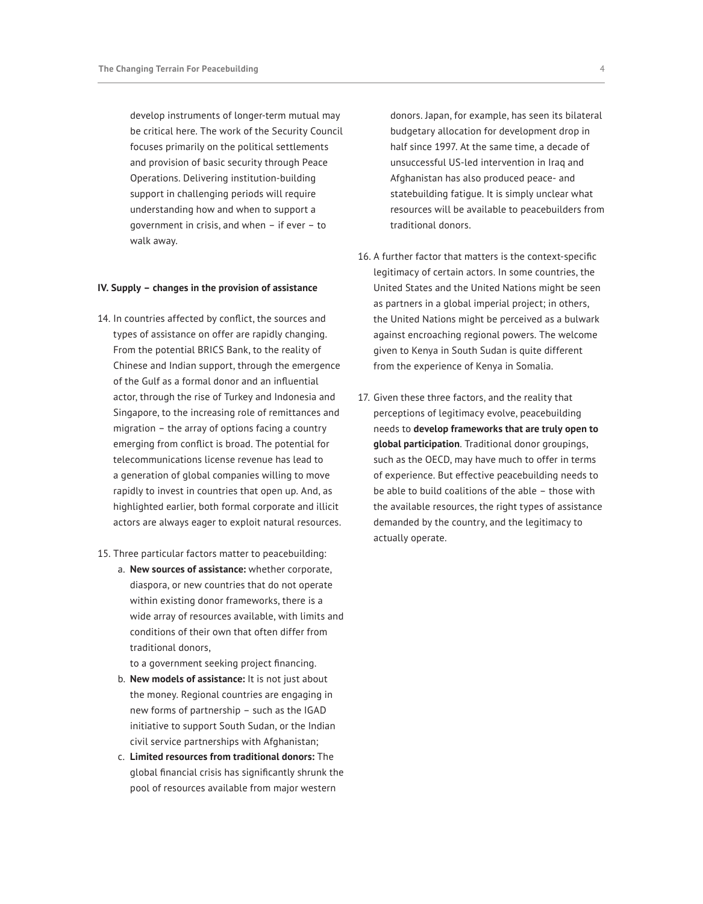develop instruments of longer-term mutual may be critical here. The work of the Security Council focuses primarily on the political settlements and provision of basic security through Peace Operations. Delivering institution-building support in challenging periods will require understanding how and when to support a government in crisis, and when – if ever – to walk away.

### **IV. Supply – changes in the provision of assistance**

- 14. In countries affected by conflict, the sources and types of assistance on offer are rapidly changing. From the potential BRICS Bank, to the reality of Chinese and Indian support, through the emergence of the Gulf as a formal donor and an influential actor, through the rise of Turkey and Indonesia and Singapore, to the increasing role of remittances and migration – the array of options facing a country emerging from conflict is broad. The potential for telecommunications license revenue has lead to a generation of global companies willing to move rapidly to invest in countries that open up. And, as highlighted earlier, both formal corporate and illicit actors are always eager to exploit natural resources.
- 15. Three particular factors matter to peacebuilding:
	- a. **New sources of assistance:** whether corporate, diaspora, or new countries that do not operate within existing donor frameworks, there is a wide array of resources available, with limits and conditions of their own that often differ from traditional donors,

to a government seeking project financing.

- b. **New models of assistance:** It is not just about the money. Regional countries are engaging in new forms of partnership – such as the IGAD initiative to support South Sudan, or the Indian civil service partnerships with Afghanistan;
- c. **Limited resources from traditional donors:** The global financial crisis has significantly shrunk the pool of resources available from major western

donors. Japan, for example, has seen its bilateral budgetary allocation for development drop in half since 1997. At the same time, a decade of unsuccessful US-led intervention in Iraq and Afghanistan has also produced peace- and statebuilding fatigue. It is simply unclear what resources will be available to peacebuilders from traditional donors.

- 16. A further factor that matters is the context-specific legitimacy of certain actors. In some countries, the United States and the United Nations might be seen as partners in a global imperial project; in others, the United Nations might be perceived as a bulwark against encroaching regional powers. The welcome given to Kenya in South Sudan is quite different from the experience of Kenya in Somalia.
- 17. Given these three factors, and the reality that perceptions of legitimacy evolve, peacebuilding needs to **develop frameworks that are truly open to global participation**. Traditional donor groupings, such as the OECD, may have much to offer in terms of experience. But effective peacebuilding needs to be able to build coalitions of the able – those with the available resources, the right types of assistance demanded by the country, and the legitimacy to actually operate.